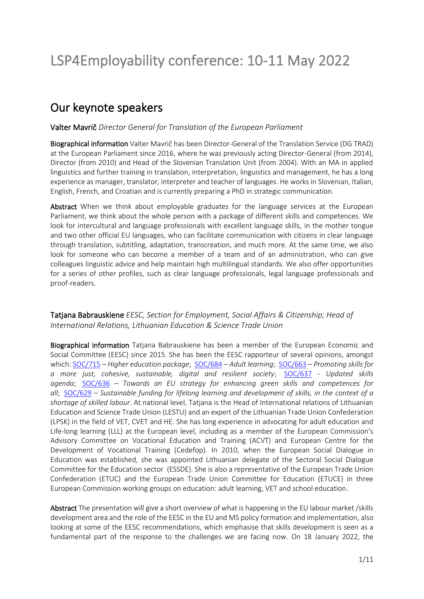## Our keynote speakers

## Valter Mavrič *Director General for Translation of the European Parliament*

Biographical information Valter Mavrič has been Director-General of the Translation Service (DG TRAD) at the European Parliament since 2016, where he was previously acting Director-General (from 2014), Director (from 2010) and Head of the Slovenian Translation Unit (from 2004). With an MA in applied linguistics and further training in translation, interpretation, linguistics and management, he has a long experience as manager, translator, interpreter and teacher of languages. He works in Slovenian, Italian, English, French, and Croatian and is currently preparing a PhD in strategic communication.

Abstract When we think about employable graduates for the language services at the European Parliament, we think about the whole person with a package of different skills and competences. We look for intercultural and language professionals with excellent language skills, in the mother tongue and two other official EU languages, who can facilitate communication with citizens in clear language through translation, subtitling, adaptation, transcreation, and much more. At the same time, we also look for someone who can become a member of a team and of an administration, who can give colleagues linguistic advice and help maintain high multilingual standards. We also offer opportunities for a series of other profiles, such as clear language professionals, legal language professionals and proof-readers.

## Tatjana Babrauskiene *EESC, Section for Employment, Social Affairs & Citizenship; Head of International Relations, Lithuanian Education & Science Trade Union*

Biographical information Tatjana Babrauskiene has been a member of the European Economic and Social Committee (EESC) since 2015. She has been the EESC rapporteur of several opinions, amongst which[: SOC/715](https://eur01.safelinks.protection.outlook.com/?url=https%3A%2F%2Fwww.eesc.europa.eu%2Fen%2Four-work%2Fopinions-information-reports%2Fopinions%2Fhigher-education-package&data=04%7C01%7CDavid.Albert.Best%40ulb.be%7C4f64b31ba7624893551b08da1b7fb22d%7C30a5145e75bd4212bb028ff9c0ea4ae9%7C0%7C0%7C637852532534590490%7CUnknown%7CTWFpbGZsb3d8eyJWIjoiMC4wLjAwMDAiLCJQIjoiV2luMzIiLCJBTiI6Ik1haWwiLCJXVCI6Mn0%3D%7C3000&sdata=1IDMZmaYgwVhTJj3F3WYUClNXKeXS5ZqVcx7JFydiw4%3D&reserved=0) – *Higher education package*; [SOC/684](https://eur01.safelinks.protection.outlook.com/?url=https%3A%2F%2Fwww.eesc.europa.eu%2Fen%2Four-work%2Fopinions-information-reports%2Fopinions%2Fadult-learning-0&data=04%7C01%7CDavid.Albert.Best%40ulb.be%7C4f64b31ba7624893551b08da1b7fb22d%7C30a5145e75bd4212bb028ff9c0ea4ae9%7C0%7C0%7C637852532534590490%7CUnknown%7CTWFpbGZsb3d8eyJWIjoiMC4wLjAwMDAiLCJQIjoiV2luMzIiLCJBTiI6Ik1haWwiLCJXVCI6Mn0%3D%7C3000&sdata=bFLSsNtIjo1IxEihVyT0Qa1PxmZa67xexyBAFIA6HcM%3D&reserved=0) – *Adult learning*; [SOC/663](https://eur01.safelinks.protection.outlook.com/?url=https%3A%2F%2Fwww.eesc.europa.eu%2Fen%2Four-work%2Fopinions-information-reports%2Fopinions%2Fhow-promote-based-education-and-training-lifelong-learning-perspective-skills-needed-europe-establish-more-just-more&data=04%7C01%7CDavid.Albert.Best%40ulb.be%7C4f64b31ba7624893551b08da1b7fb22d%7C30a5145e75bd4212bb028ff9c0ea4ae9%7C0%7C0%7C637852532534590490%7CUnknown%7CTWFpbGZsb3d8eyJWIjoiMC4wLjAwMDAiLCJQIjoiV2luMzIiLCJBTiI6Ik1haWwiLCJXVCI6Mn0%3D%7C3000&sdata=Kt4v%2BwMvESSX1b18j1qBUA0wmiqEztrsxWW9PKzt5nA%3D&reserved=0) – *Promoting skills for a more just, cohesive, sustainable, digital and resilient society*; [SOC/637](https://eur01.safelinks.protection.outlook.com/?url=https%3A%2F%2Fwww.eesc.europa.eu%2Fen%2Four-work%2Fopinions-information-reports%2Fopinions%2Fupdated-skills-agenda&data=04%7C01%7CDavid.Albert.Best%40ulb.be%7C4f64b31ba7624893551b08da1b7fb22d%7C30a5145e75bd4212bb028ff9c0ea4ae9%7C0%7C0%7C637852532534590490%7CUnknown%7CTWFpbGZsb3d8eyJWIjoiMC4wLjAwMDAiLCJQIjoiV2luMzIiLCJBTiI6Ik1haWwiLCJXVCI6Mn0%3D%7C3000&sdata=4yhB05Ag47q3lUt5WtX7aTQ4R0rZpUmbKtXu1RC%2FjUo%3D&reserved=0) - *Updated skills agenda*; [SOC/636](https://eur01.safelinks.protection.outlook.com/?url=https%3A%2F%2Fwww.eesc.europa.eu%2Fen%2Four-work%2Fopinions-information-reports%2Fopinions%2Ftowards-eu-strategy-enhancing-green-skills-and-competences-all-own-initiative-opinion&data=04%7C01%7CDavid.Albert.Best%40ulb.be%7C4f64b31ba7624893551b08da1b7fb22d%7C30a5145e75bd4212bb028ff9c0ea4ae9%7C0%7C0%7C637852532534590490%7CUnknown%7CTWFpbGZsb3d8eyJWIjoiMC4wLjAwMDAiLCJQIjoiV2luMzIiLCJBTiI6Ik1haWwiLCJXVCI6Mn0%3D%7C3000&sdata=vHzIzOtoRU35AK439i5NCtrjoqo4sr6J%2F%2FsKOg46Nn8%3D&reserved=0) – *Towards an EU strategy for enhancing green skills and competences for all*; [SOC/629](https://eur01.safelinks.protection.outlook.com/?url=https%3A%2F%2Fwww.eesc.europa.eu%2Fen%2Four-work%2Fopinions-information-reports%2Fopinions%2Fsustainable-funding-lifelong-learning-and-development-skills-context-shortage-skilled-labour-exploratory-opinion-request&data=04%7C01%7CDavid.Albert.Best%40ulb.be%7C4f64b31ba7624893551b08da1b7fb22d%7C30a5145e75bd4212bb028ff9c0ea4ae9%7C0%7C0%7C637852532534590490%7CUnknown%7CTWFpbGZsb3d8eyJWIjoiMC4wLjAwMDAiLCJQIjoiV2luMzIiLCJBTiI6Ik1haWwiLCJXVCI6Mn0%3D%7C3000&sdata=6bskTF8cdiBfc9Hf0tL8sVcp9yDjPxlluvB2%2FwW4X9c%3D&reserved=0) – *Sustainable funding for lifelong learning and development of skills, in the context of a shortage of skilled labour*. At national level, Tatjana is the Head of International relations of Lithuanian Education and Science Trade Union (LESTU) and an expert of the Lithuanian Trade Union Confederation (LPSK) in the field of VET, CVET and HE. She has long experience in advocating for adult education and Life-long learning (LLL) at the European level, including as a member of the European Commission's Advisory Committee on Vocational Education and Training (ACVT) and European Centre for the Development of Vocational Training (Cedefop). In 2010, when the European Social Dialogue in Education was established, she was appointed Lithuanian delegate of the Sectoral Social Dialogue Committee for the Education sector (ESSDE). She is also a representative of the European Trade Union Confederation (ETUC) and the European Trade Union Committee for Education (ETUCE) in three European Commission working groups on education: adult learning, VET and school education.

Abstract The presentation will give a short overview of what is happening in the EU labour market /skills development area and the role of the EESC in the EU and MS policy formation and implementation, also looking at some of the EESC recommendations, which emphasise that skills development is seen as a fundamental part of the response to the challenges we are facing now. On 18 January 2022, the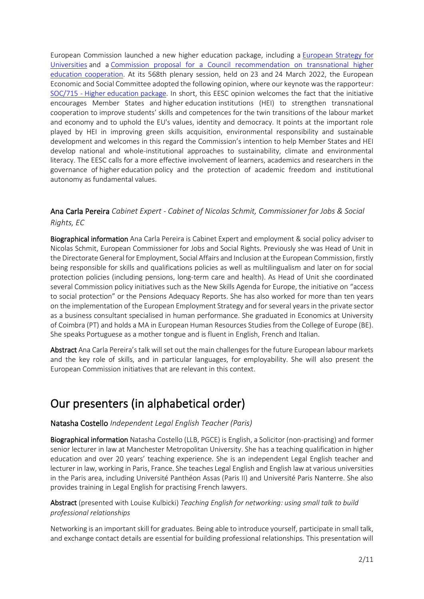European Commission launched a new higher education package, including a [European Strategy for](https://eur01.safelinks.protection.outlook.com/?url=https%3A%2F%2Feducation.ec.europa.eu%2Fdocument%2Fcommission-communication-on-a-european-strategy-for-universities&data=04%7C01%7CDavid.Albert.Best%40ulb.be%7Cb87df32426f6440e2eeb08da13cecbf6%7C30a5145e75bd4212bb028ff9c0ea4ae9%7C0%7C0%7C637844076175308652%7CUnknown%7CTWFpbGZsb3d8eyJWIjoiMC4wLjAwMDAiLCJQIjoiV2luMzIiLCJBTiI6Ik1haWwiLCJXVCI6Mn0%3D%7C3000&sdata=Z3bR3uOz4KqUwNZajF1owPReX8D0cEoTJrCtqu9Jd%2BM%3D&reserved=0)  [Universities](https://eur01.safelinks.protection.outlook.com/?url=https%3A%2F%2Feducation.ec.europa.eu%2Fdocument%2Fcommission-communication-on-a-european-strategy-for-universities&data=04%7C01%7CDavid.Albert.Best%40ulb.be%7Cb87df32426f6440e2eeb08da13cecbf6%7C30a5145e75bd4212bb028ff9c0ea4ae9%7C0%7C0%7C637844076175308652%7CUnknown%7CTWFpbGZsb3d8eyJWIjoiMC4wLjAwMDAiLCJQIjoiV2luMzIiLCJBTiI6Ik1haWwiLCJXVCI6Mn0%3D%7C3000&sdata=Z3bR3uOz4KqUwNZajF1owPReX8D0cEoTJrCtqu9Jd%2BM%3D&reserved=0) and a [Commission proposal for a Council recommendation on transnational higher](https://eur01.safelinks.protection.outlook.com/?url=https%3A%2F%2Feducation.ec.europa.eu%2Fdocument%2Fproposal-for-a-council-recommendation-on-building-bridges-for-effective-european-higher-education-cooperation&data=04%7C01%7CDavid.Albert.Best%40ulb.be%7Cb87df32426f6440e2eeb08da13cecbf6%7C30a5145e75bd4212bb028ff9c0ea4ae9%7C0%7C0%7C637844076175308652%7CUnknown%7CTWFpbGZsb3d8eyJWIjoiMC4wLjAwMDAiLCJQIjoiV2luMzIiLCJBTiI6Ik1haWwiLCJXVCI6Mn0%3D%7C3000&sdata=NcgzeP3plJhZeuCdbaPQoxPnHrApNj3s2BShL57oxo8%3D&reserved=0)  [education cooperation.](https://eur01.safelinks.protection.outlook.com/?url=https%3A%2F%2Feducation.ec.europa.eu%2Fdocument%2Fproposal-for-a-council-recommendation-on-building-bridges-for-effective-european-higher-education-cooperation&data=04%7C01%7CDavid.Albert.Best%40ulb.be%7Cb87df32426f6440e2eeb08da13cecbf6%7C30a5145e75bd4212bb028ff9c0ea4ae9%7C0%7C0%7C637844076175308652%7CUnknown%7CTWFpbGZsb3d8eyJWIjoiMC4wLjAwMDAiLCJQIjoiV2luMzIiLCJBTiI6Ik1haWwiLCJXVCI6Mn0%3D%7C3000&sdata=NcgzeP3plJhZeuCdbaPQoxPnHrApNj3s2BShL57oxo8%3D&reserved=0) At its 568th plenary session, held on 23 and 24 March 2022, the European Economic and Social Committee adopted the following opinion, where our keynote was the rapporteur: [SOC/715 -](https://eur01.safelinks.protection.outlook.com/?url=http%3A%2F%2Fcdlink2.eesc.europa.eu%2Fc%2F7%2FeyJhaSI6NzYyODI4NzEsImUiOiJ0YW5pYS5iYWJAZ21haWwuY29tIiwicmkiOiJjb250YWN0LWZiMjExM2Q1ZWVkM2U1MTFiYjY0MDA1MDU2YTA1MDcwLTk5ZjZlZjA2OGUzODRhNWE5MDNlYWJiYjA3NjExYWZiIiwicnEiOiJwMS1iMjIwODktMmJiM2I1ZTE4MDA5NDQ3YmE1MjUwMmI5ZGJiMmZlMjgiLCJwaCI6bnVsbCwibSI6ZmFsc2UsInVpIjoiMCIsInVuIjoiIiwidSI6Imh0dHBzOi8vd3d3LmVlc2MuZXVyb3BhLmV1L2VuL291ci13b3JrL29waW5pb25zLWluZm9ybWF0aW9uLXJlcG9ydHMvb3BpbmlvbnMvaGlnaGVyLWVkdWNhdGlvbi1wYWNrYWdlP19jbGRlZT1fNmdSOExLWW94TEZNTnFselEzSkpZU0N3ZV9QMDljQVRqUmZlbTJHVWFOTDZ1UFFEWWVpT2szLUZQSlAzY3RXJnJlY2lwaWVudGlkPWNvbnRhY3QtZmIyMTEzZDVlZWQzZTUxMWJiNjQwMDUwNTZhMDUwNzAtOTlmNmVmMDY4ZTM4NGE1YTkwM2VhYmJiMDc2MTFhZmImZXNpZD00ZmM0MjEzMi03ZWFmLWVjMTEtODExZS0wMDUwNTZhMDQzZWEifQ%2F0tWQj9ZFlssKrz6Zi2QqLw&data=04%7C01%7CDavid.Albert.Best%40ulb.be%7Cb87df32426f6440e2eeb08da13cecbf6%7C30a5145e75bd4212bb028ff9c0ea4ae9%7C0%7C0%7C637844076175308652%7CUnknown%7CTWFpbGZsb3d8eyJWIjoiMC4wLjAwMDAiLCJQIjoiV2luMzIiLCJBTiI6Ik1haWwiLCJXVCI6Mn0%3D%7C3000&sdata=WhJT86U1vQ1186Qx0oU7QUjUy68cLuZbbyXw8W0%2Bvbg%3D&reserved=0) Higher education package. In short, this EESC opinion welcomes the fact that the initiative encourages Member States and higher education institutions (HEI) to strengthen transnational cooperation to improve students' skills and competences for the twin transitions of the labour market and economy and to uphold the EU's values, identity and democracy. It points at the important role played by HEI in improving green skills acquisition, environmental responsibility and sustainable development and welcomes in this regard the Commission's intention to help Member States and HEI develop national and whole-institutional approaches to sustainability, climate and environmental literacy. The EESC calls for a more effective involvement of learners, academics and researchers in the governance of higher education policy and the protection of academic freedom and institutional autonomy as fundamental values.

## Ana Carla Pereira *Cabinet Expert - Cabinet of Nicolas Schmit, Commissioner for Jobs & Social Rights, EC*

Biographical information Ana Carla Pereira is Cabinet Expert and employment & social policy adviser to Nicolas Schmit, European Commissioner for Jobs and Social Rights. Previously she was Head of Unit in the Directorate General for Employment, Social Affairs and Inclusion at the European Commission, firstly being responsible for skills and qualifications policies as well as multilingualism and later on for social protection policies (including pensions, long-term care and health). As Head of Unit she coordinated several Commission policy initiatives such as the New Skills Agenda for Europe, the initiative on "access to social protection" or the Pensions Adequacy Reports. She has also worked for more than ten years on the implementation of the European Employment Strategy and forseveral years in the private sector as a business consultant specialised in human performance. She graduated in Economics at University of Coimbra (PT) and holds a MA in European Human Resources Studies from the College of Europe (BE). She speaks Portuguese as a mother tongue and is fluent in English, French and Italian.

Abstract Ana Carla Pereira's talk will set out the main challenges for the future European labour markets and the key role of skills, and in particular languages, for employability. She will also present the European Commission initiatives that are relevant in this context.

# Our presenters (in alphabetical order)

## Natasha Costello *Independent Legal English Teacher (Paris)*

Biographical information Natasha Costello (LLB, PGCE) is English, a Solicitor (non-practising) and former senior lecturer in law at Manchester Metropolitan University. She has a teaching qualification in higher education and over 20 years' teaching experience. She is an independent Legal English teacher and lecturer in law, working in Paris, France. She teaches Legal English and English law at various universities in the Paris area, including Université Panthéon Assas (Paris II) and Université Paris Nanterre. She also provides training in Legal English for practising French lawyers.

## Abstract (presented with Louise Kulbicki) *Teaching English for networking: using small talk to build professional relationships*

Networking is an important skill for graduates. Being able to introduce yourself, participate in small talk, and exchange contact details are essential for building professional relationships. This presentation will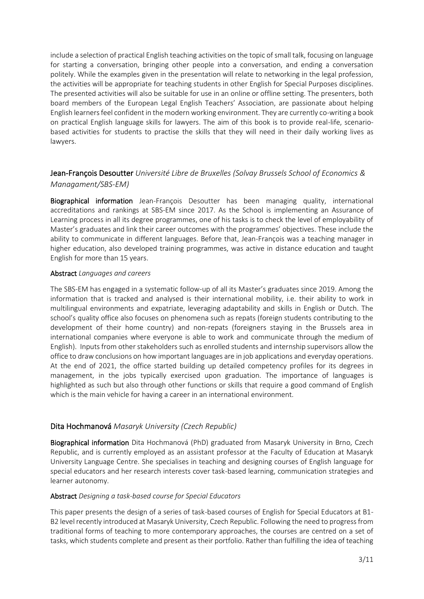include a selection of practical English teaching activities on the topic of small talk, focusing on language for starting a conversation, bringing other people into a conversation, and ending a conversation politely. While the examples given in the presentation will relate to networking in the legal profession, the activities will be appropriate for teaching students in other English for Special Purposes disciplines. The presented activities will also be suitable for use in an online or offline setting. The presenters, both board members of the European Legal English Teachers' Association, are passionate about helping English learners feel confident in the modern working environment. They are currently co-writing a book on practical English language skills for lawyers. The aim of this book is to provide real-life, scenariobased activities for students to practise the skills that they will need in their daily working lives as lawyers.

## Jean-François Desoutter *Université Libre de Bruxelles (Solvay Brussels School of Economics & Managament/SBS-EM)*

Biographical information Jean-François Desoutter has been managing quality, international accreditations and rankings at SBS-EM since 2017. As the School is implementing an Assurance of Learning process in all its degree programmes, one of his tasks is to check the level of employability of Master's graduates and link their career outcomes with the programmes' objectives. These include the ability to communicate in different languages. Before that, Jean-François was a teaching manager in higher education, also developed training programmes, was active in distance education and taught English for more than 15 years.

## Abstract *Languages and careers*

The SBS-EM has engaged in a systematic follow-up of all its Master's graduates since 2019. Among the information that is tracked and analysed is their international mobility, i.e. their ability to work in multilingual environments and expatriate, leveraging adaptability and skills in English or Dutch. The school's quality office also focuses on phenomena such as repats (foreign students contributing to the development of their home country) and non-repats (foreigners staying in the Brussels area in international companies where everyone is able to work and communicate through the medium of English). Inputs from other stakeholders such as enrolled students and internship supervisors allow the office to draw conclusions on how important languages are in job applications and everyday operations. At the end of 2021, the office started building up detailed competency profiles for its degrees in management, in the jobs typically exercised upon graduation. The importance of languages is highlighted as such but also through other functions or skills that require a good command of English which is the main vehicle for having a career in an international environment.

## Dita Hochmanová *Masaryk University (Czech Republic)*

Biographical information Dita Hochmanová (PhD) graduated from Masaryk University in Brno, Czech Republic, and is currently employed as an assistant professor at the Faculty of Education at Masaryk University Language Centre. She specialises in teaching and designing courses of English language for special educators and her research interests cover task-based learning, communication strategies and learner autonomy.

#### Abstract *Designing a task-based course for Special Educators*

This paper presents the design of a series of task-based courses of English for Special Educators at B1- B2 level recently introduced at Masaryk University, Czech Republic. Following the need to progress from traditional forms of teaching to more contemporary approaches, the courses are centred on a set of tasks, which students complete and present as their portfolio. Rather than fulfilling the idea of teaching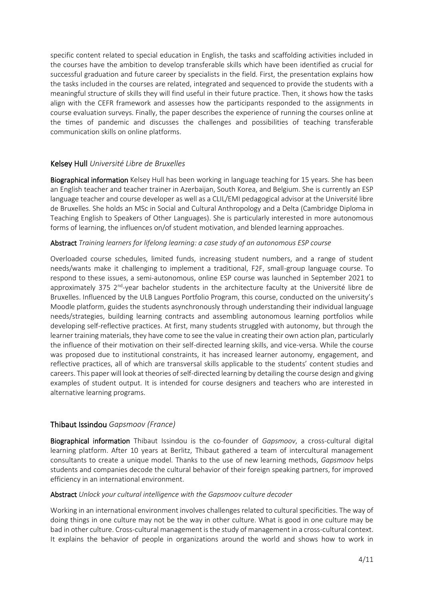specific content related to special education in English, the tasks and scaffolding activities included in the courses have the ambition to develop transferable skills which have been identified as crucial for successful graduation and future career by specialists in the field. First, the presentation explains how the tasks included in the courses are related, integrated and sequenced to provide the students with a meaningful structure of skills they will find useful in their future practice. Then, it shows how the tasks align with the CEFR framework and assesses how the participants responded to the assignments in course evaluation surveys. Finally, the paper describes the experience of running the courses online at the times of pandemic and discusses the challenges and possibilities of teaching transferable communication skills on online platforms.

## Kelsey Hull *Université Libre de Bruxelles*

Biographical information Kelsey Hull has been working in language teaching for 15 years. She has been an English teacher and teacher trainer in Azerbaijan, South Korea, and Belgium. She is currently an ESP language teacher and course developer as well as a CLIL/EMI pedagogical advisor at the Université libre de Bruxelles. She holds an MSc in Social and Cultural Anthropology and a Delta (Cambridge Diploma in Teaching English to Speakers of Other Languages). She is particularly interested in more autonomous forms of learning, the influences on/of student motivation, and blended learning approaches.

#### Abstract *Training learners for lifelong learning: a case study of an autonomous ESP course*

Overloaded course schedules, limited funds, increasing student numbers, and a range of student needs/wants make it challenging to implement a traditional, F2F, small-group language course. To respond to these issues, a semi-autonomous, online ESP course was launched in September 2021 to approximately 375 2<sup>nd</sup>-year bachelor students in the architecture faculty at the Université libre de Bruxelles. Influenced by the ULB Langues Portfolio Program, this course, conducted on the university's Moodle platform, guides the students asynchronously through understanding their individual language needs/strategies, building learning contracts and assembling autonomous learning portfolios while developing self-reflective practices. At first, many students struggled with autonomy, but through the learner training materials, they have come to see the value in creating their own action plan, particularly the influence of their motivation on their self-directed learning skills, and vice-versa. While the course was proposed due to institutional constraints, it has increased learner autonomy, engagement, and reflective practices, all of which are transversal skills applicable to the students' content studies and careers. This paper will look at theories of self-directed learning by detailing the course design and giving examples of student output. It is intended for course designers and teachers who are interested in alternative learning programs.

#### Thibaut Issindou *Gapsmoov (France)*

Biographical information Thibaut Issindou is the co-founder of *Gapsmoov*, a cross-cultural digital learning platform. After 10 years at Berlitz, Thibaut gathered a team of intercultural management consultants to create a unique model. Thanks to the use of new learning methods, *Gapsmoov* helps students and companies decode the cultural behavior of their foreign speaking partners, for improved efficiency in an international environment.

#### Abstract *Unlock your cultural intelligence with the Gapsmoov culture decoder*

Working in an international environment involves challenges related to cultural specificities. The way of doing things in one culture may not be the way in other culture. What is good in one culture may be bad in other culture. Cross-cultural management is the study of management in a cross-cultural context. It explains the behavior of people in organizations around the world and shows how to work in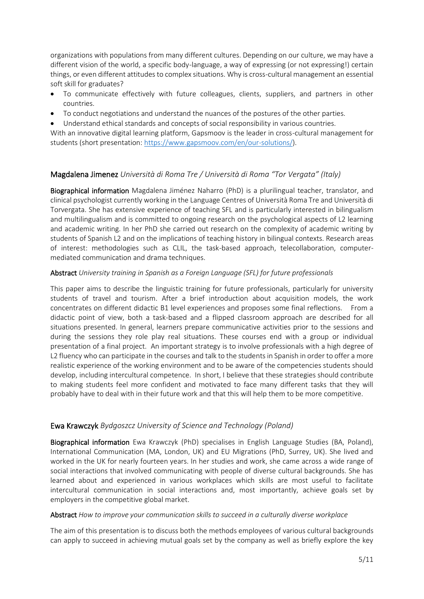organizations with populations from many different cultures. Depending on our culture, we may have a different vision of the world, a specific body-language, a way of expressing (or not expressing!) certain things, or even different attitudes to complex situations. Why is cross-cultural management an essential soft skill for graduates?

- To communicate effectively with future colleagues, clients, suppliers, and partners in other countries.
- To conduct negotiations and understand the nuances of the postures of the other parties.
- Understand ethical standards and concepts of social responsibility in various countries.

With an innovative digital learning platform, Gapsmoov is the leader in cross-cultural management for students (short presentation: [https://www.gapsmoov.com/en/our-solutions/\)](https://www.gapsmoov.com/en/our-solutions/).

## Magdalena Jimenez *Università di Roma Tre / Università di Roma "Tor Vergata" (Italy)*

Biographical information Magdalena Jiménez Naharro (PhD) is a plurilingual teacher, translator, and clinical psychologist currently working in the Language Centres of Università Roma Tre and Università di Torvergata. She has extensive experience of teaching SFL and is particularly interested in bilingualism and multilingualism and is committed to ongoing research on the psychological aspects of L2 learning and academic writing. In her PhD she carried out research on the complexity of academic writing by students of Spanish L2 and on the implications of teaching history in bilingual contexts. Research areas of interest: methodologies such as CLIL, the task-based approach, telecollaboration, computermediated communication and drama techniques.

#### Abstract *University training in Spanish as a Foreign Language (SFL) for future professionals*

This paper aims to describe the linguistic training for future professionals, particularly for university students of travel and tourism. After a brief introduction about acquisition models, the work concentrates on different didactic B1 level experiences and proposes some final reflections. From a didactic point of view, both a task-based and a flipped classroom approach are described for all situations presented. In general, learners prepare communicative activities prior to the sessions and during the sessions they role play real situations. These courses end with a group or individual presentation of a final project. An important strategy is to involve professionals with a high degree of L2 fluency who can participate in the courses and talk to the students in Spanish in order to offer a more realistic experience of the working environment and to be aware of the competencies students should develop, including intercultural competence. In short, I believe that these strategies should contribute to making students feel more confident and motivated to face many different tasks that they will probably have to deal with in their future work and that this will help them to be more competitive.

#### Ewa Krawczyk *Bydgoszcz University of Science and Technology (Poland)*

Biographical information Ewa Krawczyk (PhD) specialises in English Language Studies (BA, Poland), International Communication (MA, London, UK) and EU Migrations (PhD, Surrey, UK). She lived and worked in the UK for nearly fourteen years. In her studies and work, she came across a wide range of social interactions that involved communicating with people of diverse cultural backgrounds. She has learned about and experienced in various workplaces which skills are most useful to facilitate intercultural communication in social interactions and, most importantly, achieve goals set by employers in the competitive global market.

#### Abstract *How to improve your communication skills to succeed in a culturally diverse workplace*

The aim of this presentation is to discuss both the methods employees of various cultural backgrounds can apply to succeed in achieving mutual goals set by the company as well as briefly explore the key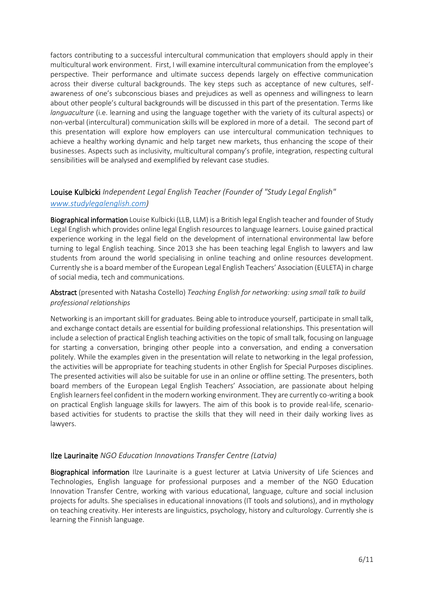factors contributing to a successful intercultural communication that employers should apply in their multicultural work environment. First, I will examine intercultural communication from the employee's perspective. Their performance and ultimate success depends largely on effective communication across their diverse cultural backgrounds. The key steps such as acceptance of new cultures, selfawareness of one's subconscious biases and prejudices as well as openness and willingness to learn about other people's cultural backgrounds will be discussed in this part of the presentation. Terms like *languaculture* (i.e. learning and using the language together with the variety of its cultural aspects) or non-verbal (intercultural) communication skills will be explored in more of a detail. The second part of this presentation will explore how employers can use intercultural communication techniques to achieve a healthy working dynamic and help target new markets, thus enhancing the scope of their businesses. Aspects such as inclusivity, multicultural company's profile, integration, respecting cultural sensibilities will be analysed and exemplified by relevant case studies.

## Louise Kulbicki *Independent Legal English Teacher (Founder of "Study Legal English" [www.studylegalenglish.com\)](http://www.studylegalenglish.com/)*

Biographical information Louise Kulbicki (LLB, LLM) is a British legal English teacher and founder of Study Legal English which provides online legal English resources to language learners. Louise gained practical experience working in the legal field on the development of international environmental law before turning to legal English teaching. Since 2013 she has been teaching legal English to lawyers and law students from around the world specialising in online teaching and online resources development. Currently she is a board member of the European Legal English Teachers' Association (EULETA) in charge of social media, tech and communications.

## Abstract (presented with Natasha Costello) *Teaching English for networking: using small talk to build professional relationships*

Networking is an important skill for graduates. Being able to introduce yourself, participate in small talk, and exchange contact details are essential for building professional relationships. This presentation will include a selection of practical English teaching activities on the topic of small talk, focusing on language for starting a conversation, bringing other people into a conversation, and ending a conversation politely. While the examples given in the presentation will relate to networking in the legal profession, the activities will be appropriate for teaching students in other English for Special Purposes disciplines. The presented activities will also be suitable for use in an online or offline setting. The presenters, both board members of the European Legal English Teachers' Association, are passionate about helping English learners feel confident in the modern working environment. They are currently co-writing a book on practical English language skills for lawyers. The aim of this book is to provide real-life, scenariobased activities for students to practise the skills that they will need in their daily working lives as lawyers.

#### Ilze Laurinaite *NGO Education Innovations Transfer Centre (Latvia)*

Biographical information Ilze Laurinaite is a guest lecturer at Latvia University of Life Sciences and Technologies, English language for professional purposes and a member of the NGO Education Innovation Transfer Centre, working with various educational, language, culture and social inclusion projects for adults. She specialises in educational innovations (IT tools and solutions), and in mythology on teaching creativity. Her interests are linguistics, psychology, history and culturology. Currently she is learning the Finnish language.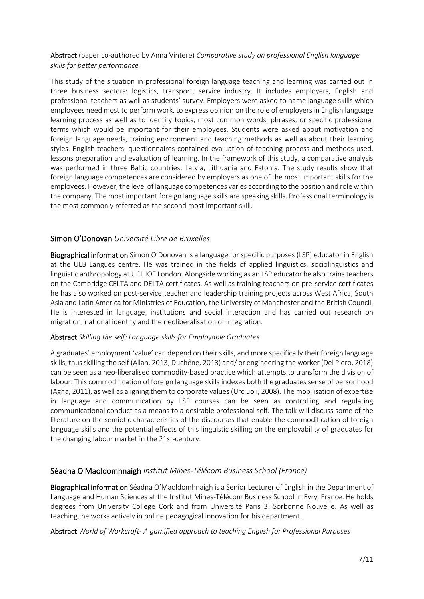## Abstract (paper co-authored by Anna Vintere) *Comparative study on professional English language skills for better performance*

This study of the situation in professional foreign language teaching and learning was carried out in three business sectors: logistics, transport, service industry. It includes employers, English and professional teachers as well as students' survey. Employers were asked to name language skills which employees need most to perform work, to express opinion on the role of employers in English language learning process as well as to identify topics, most common words, phrases, or specific professional terms which would be important for their employees. Students were asked about motivation and foreign language needs, training environment and teaching methods as well as about their learning styles. English teachers' questionnaires contained evaluation of teaching process and methods used, lessons preparation and evaluation of learning. In the framework of this study, a comparative analysis was performed in three Baltic countries: Latvia, Lithuania and Estonia. The study results show that foreign language competences are considered by employers as one of the most important skills for the employees. However, the level of language competences varies according to the position and role within the company. The most important foreign language skills are speaking skills. Professional terminology is the most commonly referred as the second most important skill.

## Simon O'Donovan *Université Libre de Bruxelles*

Biographical information Simon O'Donovan is a language for specific purposes (LSP) educator in English at the ULB Langues centre. He was trained in the fields of applied linguistics, sociolinguistics and linguistic anthropology at UCL IOE London. Alongside working as an LSP educator he also trains teachers on the Cambridge CELTA and DELTA certificates. As well as training teachers on pre-service certificates he has also worked on post-service teacher and leadership training projects across West Africa, South Asia and Latin America for Ministries of Education, the University of Manchester and the British Council. He is interested in language, institutions and social interaction and has carried out research on migration, national identity and the neoliberalisation of integration.

#### Abstract *Skilling the self: Language skills for Employable Graduates*

A graduates' employment 'value' can depend on their skills, and more specifically their foreign language skills, thus skilling the self (Allan, 2013; Duchêne, 2013) and/ or engineering the worker (Del Piero, 2018) can be seen as a neo-liberalised commodity-based practice which attempts to transform the division of labour. This commodification of foreign language skills indexes both the graduates sense of personhood (Agha, 2011), as well as aligning them to corporate values (Urciuoli, 2008). The mobilisation of expertise in language and communication by LSP courses can be seen as controlling and regulating communicational conduct as a means to a desirable professional self. The talk will discuss some of the literature on the semiotic characteristics of the discourses that enable the commodification of foreign language skills and the potential effects of this linguistic skilling on the employability of graduates for the changing labour market in the 21st-century.

#### Séadna O'Maoldomhnaigh *Institut Mines-Télécom Business School (France)*

Biographical information Séadna O'Maoldomhnaigh is a Senior Lecturer of English in the Department of Language and Human Sciences at the Institut Mines-Télécom Business School in Evry, France. He holds degrees from University College Cork and from Université Paris 3: Sorbonne Nouvelle. As well as teaching, he works actively in online pedagogical innovation for his department.

#### Abstract *World of Workcraft- A gamified approach to teaching English for Professional Purposes*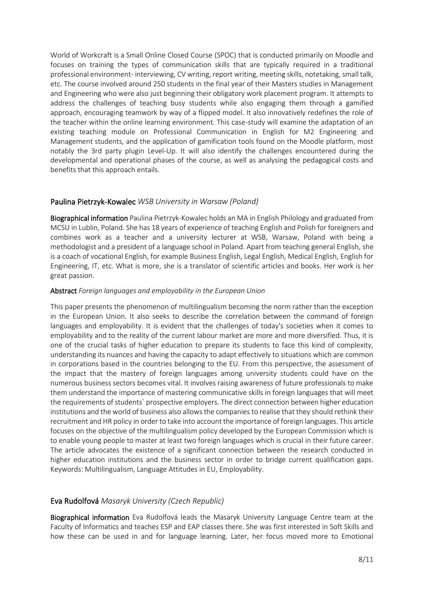World of Workcraft is a Small Online Closed Course (SPOC) that is conducted primarily on Moodle and focuses on training the types of communication skills that are typically required in a traditional professional environment- interviewing, CV writing, report writing, meeting skills, notetaking, small talk, etc. The course involved around 250 students in the final year of their Masters studies in Management and Engineering who were also just beginning their obligatory work placement program. It attempts to address the challenges of teaching busy students while also engaging them through a gamified approach, encouraging teamwork by way of a flipped model. It also innovatively redefines the role of the teacher within the online learning environment. This case-study will examine the adaptation of an existing teaching module on Professional Communication in English for M2 Engineering and Management students, and the application of gamification tools found on the Moodle platform, most notably the 3rd party plugin Level-Up. It will also identify the challenges encountered during the developmental and operational phases of the course, as well as analysing the pedagogical costs and benefits that this approach entails.

## Paulina Pietrzyk-Kowalec *WSB University in Warsaw (Poland)*

Biographical information Paulina Pietrzyk-Kowalec holds an MA in English Philology and graduated from MCSU in Lublin, Poland. She has 18 years of experience of teaching English and Polish for foreigners and combines work as a teacher and a university lecturer at WSB, Warsaw, Poland with being a methodologist and a president of a language school in Poland. Apart from teaching general English, she is a coach of vocational English, for example Business English, Legal English, Medical English, English for Engineering, IT, etc. What is more, she is a translator of scientific articles and books. Her work is her great passion.

#### Abstract *Foreign languages and employability in the European Union*

This paper presents the phenomenon of multilingualism becoming the norm rather than the exception in the European Union. It also seeks to describe the correlation between the command of foreign languages and employability. It is evident that the challenges of today's societies when it comes to employability and to the reality of the current labour market are more and more diversified. Thus, it is one of the crucial tasks of higher education to prepare its students to face this kind of complexity, understanding its nuances and having the capacity to adapt effectively to situations which are common in corporations based in the countries belonging to the EU. From this perspective, the assessment of the impact that the mastery of foreign languages among university students could have on the numerous business sectors becomes vital. It involves raising awareness of future professionals to make them understand the importance of mastering communicative skills in foreign languages that will meet the requirements of students` prospective employers. The direct connection between higher education institutions and the world of business also allows the companies to realise that they should rethink their recruitment and HR policy in order to take into account the importance of foreign languages. This article focuses on the objective of the multilingualism policy developed by the European Commission which is to enable young people to master at least two foreign languages which is crucial in their future career. The article advocates the existence of a significant connection between the research conducted in higher education institutions and the business sector in order to bridge current qualification gaps. Keywords: Multilingualism, Language Attitudes in EU, Employability.

#### Eva Rudolfová *Masaryk University (Czech Republic)*

Biographical information Eva Rudolfová leads the Masaryk University Language Centre team at the Faculty of Informatics and teaches ESP and EAP classes there. She was first interested in Soft Skills and how these can be used in and for language learning. Later, her focus moved more to Emotional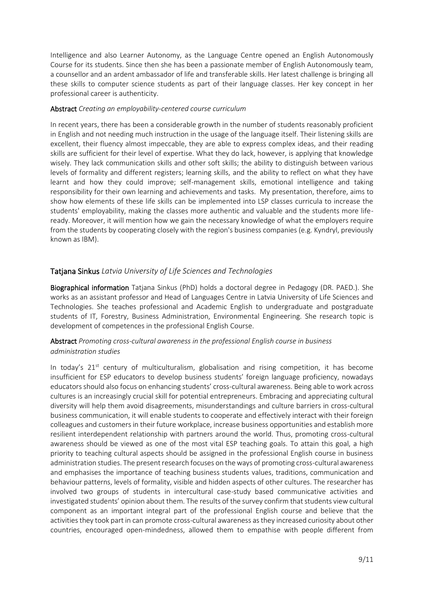Intelligence and also Learner Autonomy, as the Language Centre opened an English Autonomously Course for its students. Since then she has been a passionate member of English Autonomously team, a counsellor and an ardent ambassador of life and transferable skills. Her latest challenge is bringing all these skills to computer science students as part of their language classes. Her key concept in her professional career is authenticity.

#### Abstract *Creating an employability-centered course curriculum*

In recent years, there has been a considerable growth in the number of students reasonably proficient in English and not needing much instruction in the usage of the language itself. Their listening skills are excellent, their fluency almost impeccable, they are able to express complex ideas, and their reading skills are sufficient for their level of expertise. What they do lack, however, is applying that knowledge wisely. They lack communication skills and other soft skills; the ability to distinguish between various levels of formality and different registers; learning skills, and the ability to reflect on what they have learnt and how they could improve; self-management skills, emotional intelligence and taking responsibility for their own learning and achievements and tasks. My presentation, therefore, aims to show how elements of these life skills can be implemented into LSP classes curricula to increase the students' employability, making the classes more authentic and valuable and the students more lifeready. Moreover, it will mention how we gain the necessary knowledge of what the employers require from the students by cooperating closely with the region's business companies (e.g. Kyndryl, previously known as IBM).

## Tatjana Sinkus *Latvia University of Life Sciences and Technologies*

Biographical information Tatjana Sinkus (PhD) holds a doctoral degree in Pedagogy (DR. PAED.). She works as an assistant professor and Head of Languages Centre in Latvia University of Life Sciences and Technologies. She teaches professional and Academic English to undergraduate and postgraduate students of IT, Forestry, Business Administration, Environmental Engineering. She research topic is development of competences in the professional English Course.

## Abstract *Promoting cross-cultural awareness in the professional English course in business administration studies*

In today's  $21<sup>st</sup>$  century of multiculturalism, globalisation and rising competition, it has become insufficient for ESP educators to develop business students' foreign language proficiency, nowadays educators should also focus on enhancing students' cross-cultural awareness. Being able to work across cultures is an increasingly crucial skill for potential entrepreneurs. Embracing and appreciating cultural diversity will help them avoid disagreements, misunderstandings and culture barriers in cross-cultural business communication, it will enable students to cooperate and effectively interact with their foreign colleagues and customers in their future workplace, increase business opportunities and establish more resilient interdependent relationship with partners around the world. Thus, promoting cross-cultural awareness should be viewed as one of the most vital ESP teaching goals. To attain this goal, a high priority to teaching cultural aspects should be assigned in the professional English course in business administration studies. The present research focuses on the ways of promoting cross-cultural awareness and emphasises the importance of teaching business students values, traditions, communication and behaviour patterns, levels of formality, visible and hidden aspects of other cultures. The researcher has involved two groups of students in intercultural case-study based communicative activities and investigated students' opinion about them. The results of the survey confirm that students view cultural component as an important integral part of the professional English course and believe that the activities they took part in can promote cross-cultural awareness as they increased curiosity about other countries, encouraged open-mindedness, allowed them to empathise with people different from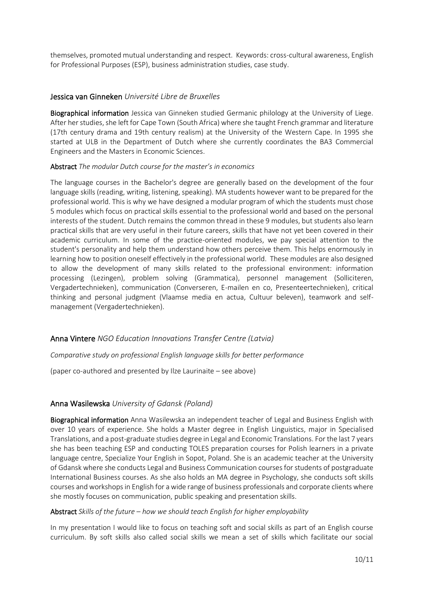themselves, promoted mutual understanding and respect. Keywords: cross-cultural awareness, English for Professional Purposes (ESP), business administration studies, case study.

#### Jessica van Ginneken *Université Libre de Bruxelles*

Biographical information Jessica van Ginneken studied Germanic philology at the University of Liege. After her studies, she left for Cape Town (South Africa) where she taught French grammar and literature (17th century drama and 19th century realism) at the University of the Western Cape. In 1995 she started at ULB in the Department of Dutch where she currently coordinates the BA3 Commercial Engineers and the Masters in Economic Sciences.

#### Abstract *The modular Dutch course for the master's in economics*

The language courses in the Bachelor's degree are generally based on the development of the four language skills (reading, writing, listening, speaking). MA students however want to be prepared for the professional world. This is why we have designed a modular program of which the students must chose 5 modules which focus on practical skills essential to the professional world and based on the personal interests of the student. Dutch remains the common thread in these 9 modules, but students also learn practical skills that are very useful in their future careers, skills that have not yet been covered in their academic curriculum. In some of the practice-oriented modules, we pay special attention to the student's personality and help them understand how others perceive them. This helps enormously in learning how to position oneself effectively in the professional world. These modules are also designed to allow the development of many skills related to the professional environment: information processing (Lezingen), problem solving (Grammatica), personnel management (Solliciteren, Vergadertechnieken), communication (Converseren, E-mailen en co, Presenteertechnieken), critical thinking and personal judgment (Vlaamse media en actua, Cultuur beleven), teamwork and selfmanagement (Vergadertechnieken).

#### Anna Vintere *NGO Education Innovations Transfer Centre (Latvia)*

*Comparative study on professional English language skills for better performance*

(paper co-authored and presented by Ilze Laurinaite – see above)

#### Anna Wasilewska *University of Gdansk (Poland)*

Biographical information Anna Wasilewska an independent teacher of Legal and Business English with over 10 years of experience. She holds a Master degree in English Linguistics, major in Specialised Translations, and a post-graduate studies degree in Legal and Economic Translations. For the last 7 years she has been teaching ESP and conducting TOLES preparation courses for Polish learners in a private language centre, Specialize Your English in Sopot, Poland. She is an academic teacher at the University of Gdansk where she conducts Legal and Business Communication courses for students of postgraduate International Business courses. As she also holds an MA degree in Psychology, she conducts soft skills courses and workshops in English for a wide range of business professionals and corporate clients where she mostly focuses on communication, public speaking and presentation skills.

#### Abstract *Skills of the future – how we should teach English for higher employability*

In my presentation I would like to focus on teaching soft and social skills as part of an English course curriculum. By soft skills also called social skills we mean a set of skills which facilitate our social